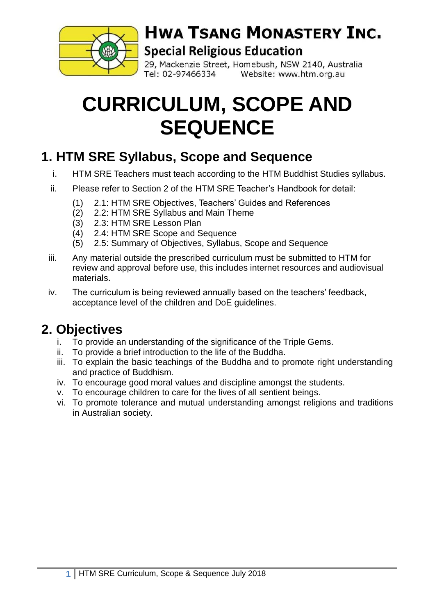

# **HWA TSANG MONASTERY INC.**

#### **Special Religious Education**

29, Mackenzie Street, Homebush, NSW 2140, Australia Tel: 02-97466334 Website: www.htm.org.au

# **CURRICULUM, SCOPE AND SEQUENCE**

#### **1. HTM SRE Syllabus, Scope and Sequence**

- i. HTM SRE Teachers must teach according to the HTM Buddhist Studies syllabus.
- ii. Please refer to Section 2 of the HTM SRE Teacher's Handbook for detail:
	- (1) 2.1: HTM SRE Objectives, Teachers' Guides and References
	- (2) 2.2: HTM SRE Syllabus and Main Theme
	- (3) 2.3: HTM SRE Lesson Plan
	- (4) 2.4: HTM SRE Scope and Sequence
	- (5) 2.5: Summary of Objectives, Syllabus, Scope and Sequence
- iii. Any material outside the prescribed curriculum must be submitted to HTM for review and approval before use, this includes internet resources and audiovisual materials.
- iv. The curriculum is being reviewed annually based on the teachers' feedback, acceptance level of the children and DoE guidelines.

## **2. Objectives**

- i. To provide an understanding of the significance of the Triple Gems.
- ii. To provide a brief introduction to the life of the Buddha.
- iii. To explain the basic teachings of the Buddha and to promote right understanding and practice of Buddhism.
- iv. To encourage good moral values and discipline amongst the students.
- v. To encourage children to care for the lives of all sentient beings.
- vi. To promote tolerance and mutual understanding amongst religions and traditions in Australian society.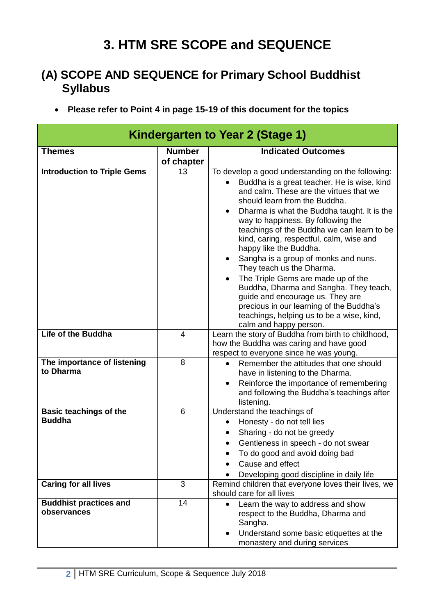## **3. HTM SRE SCOPE and SEQUENCE**

#### **(A) SCOPE AND SEQUENCE for Primary School Buddhist Syllabus**

**Please refer to Point 4 in page 15-19 of this document for the topics**

| Kindergarten to Year 2 (Stage 1)               |                             |                                                                                                                                                                                                                                                                                                                                                                                                                                                                                                                                                                                                                                                                                                                             |  |  |
|------------------------------------------------|-----------------------------|-----------------------------------------------------------------------------------------------------------------------------------------------------------------------------------------------------------------------------------------------------------------------------------------------------------------------------------------------------------------------------------------------------------------------------------------------------------------------------------------------------------------------------------------------------------------------------------------------------------------------------------------------------------------------------------------------------------------------------|--|--|
| <b>Themes</b>                                  | <b>Number</b><br>of chapter | <b>Indicated Outcomes</b>                                                                                                                                                                                                                                                                                                                                                                                                                                                                                                                                                                                                                                                                                                   |  |  |
| <b>Introduction to Triple Gems</b>             | 13                          | To develop a good understanding on the following:<br>Buddha is a great teacher. He is wise, kind<br>and calm. These are the virtues that we<br>should learn from the Buddha.<br>Dharma is what the Buddha taught. It is the<br>way to happiness. By following the<br>teachings of the Buddha we can learn to be<br>kind, caring, respectful, calm, wise and<br>happy like the Buddha.<br>Sangha is a group of monks and nuns.<br>$\bullet$<br>They teach us the Dharma.<br>The Triple Gems are made up of the<br>$\bullet$<br>Buddha, Dharma and Sangha. They teach,<br>guide and encourage us. They are<br>precious in our learning of the Buddha's<br>teachings, helping us to be a wise, kind,<br>calm and happy person. |  |  |
| <b>Life of the Buddha</b>                      | 4                           | Learn the story of Buddha from birth to childhood,<br>how the Buddha was caring and have good<br>respect to everyone since he was young.                                                                                                                                                                                                                                                                                                                                                                                                                                                                                                                                                                                    |  |  |
| The importance of listening<br>to Dharma       | 8                           | Remember the attitudes that one should<br>$\bullet$<br>have in listening to the Dharma.<br>Reinforce the importance of remembering<br>$\bullet$<br>and following the Buddha's teachings after<br>listening.                                                                                                                                                                                                                                                                                                                                                                                                                                                                                                                 |  |  |
| <b>Basic teachings of the</b><br><b>Buddha</b> | $6\phantom{1}$              | Understand the teachings of<br>Honesty - do not tell lies<br>$\bullet$<br>Sharing - do not be greedy<br>Gentleness in speech - do not swear<br>To do good and avoid doing bad<br>Cause and effect<br>Developing good discipline in daily life                                                                                                                                                                                                                                                                                                                                                                                                                                                                               |  |  |
| <b>Caring for all lives</b>                    | 3                           | Remind children that everyone loves their lives, we<br>should care for all lives                                                                                                                                                                                                                                                                                                                                                                                                                                                                                                                                                                                                                                            |  |  |
| <b>Buddhist practices and</b><br>observances   | 14                          | Learn the way to address and show<br>$\bullet$<br>respect to the Buddha, Dharma and<br>Sangha.<br>Understand some basic etiquettes at the<br>$\bullet$<br>monastery and during services                                                                                                                                                                                                                                                                                                                                                                                                                                                                                                                                     |  |  |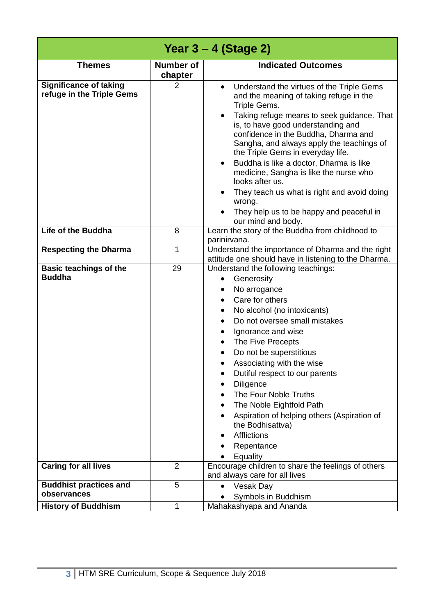|                                                            |                             | Year $3 - 4$ (Stage 2)                                                                                                                                                                                                                                                                                                                                                                                                                                                                                                                                                  |
|------------------------------------------------------------|-----------------------------|-------------------------------------------------------------------------------------------------------------------------------------------------------------------------------------------------------------------------------------------------------------------------------------------------------------------------------------------------------------------------------------------------------------------------------------------------------------------------------------------------------------------------------------------------------------------------|
| <b>Themes</b>                                              | <b>Number of</b><br>chapter | <b>Indicated Outcomes</b>                                                                                                                                                                                                                                                                                                                                                                                                                                                                                                                                               |
| <b>Significance of taking</b><br>refuge in the Triple Gems | 2                           | Understand the virtues of the Triple Gems<br>$\bullet$<br>and the meaning of taking refuge in the<br>Triple Gems.<br>Taking refuge means to seek guidance. That<br>٠<br>is, to have good understanding and<br>confidence in the Buddha, Dharma and<br>Sangha, and always apply the teachings of<br>the Triple Gems in everyday life.<br>Buddha is like a doctor, Dharma is like<br>medicine, Sangha is like the nurse who<br>looks after us.<br>They teach us what is right and avoid doing<br>wrong.<br>They help us to be happy and peaceful in<br>our mind and body. |
| Life of the Buddha                                         | 8                           | Learn the story of the Buddha from childhood to<br>parinirvana.                                                                                                                                                                                                                                                                                                                                                                                                                                                                                                         |
| <b>Respecting the Dharma</b>                               | $\mathbf{1}$                | Understand the importance of Dharma and the right<br>attitude one should have in listening to the Dharma.                                                                                                                                                                                                                                                                                                                                                                                                                                                               |
| <b>Basic teachings of the</b><br><b>Buddha</b>             | 29                          | Understand the following teachings:<br>Generosity<br>No arrogance<br>٠<br>Care for others<br>No alcohol (no intoxicants)<br>Do not oversee small mistakes<br>Ignorance and wise<br>The Five Precepts<br>Do not be superstitious<br>Associating with the wise<br>Dutiful respect to our parents<br>Diligence<br>The Four Noble Truths<br>The Noble Eightfold Path<br>Aspiration of helping others (Aspiration of<br>the Bodhisattva)<br><b>Afflictions</b><br>Repentance<br>Equality                                                                                     |
| <b>Caring for all lives</b>                                | $\overline{2}$              | Encourage children to share the feelings of others<br>and always care for all lives                                                                                                                                                                                                                                                                                                                                                                                                                                                                                     |
| <b>Buddhist practices and</b><br>observances               | 5                           | Vesak Day<br>$\bullet$<br>Symbols in Buddhism                                                                                                                                                                                                                                                                                                                                                                                                                                                                                                                           |
| <b>History of Buddhism</b>                                 | $\mathbf{1}$                | Mahakashyapa and Ananda                                                                                                                                                                                                                                                                                                                                                                                                                                                                                                                                                 |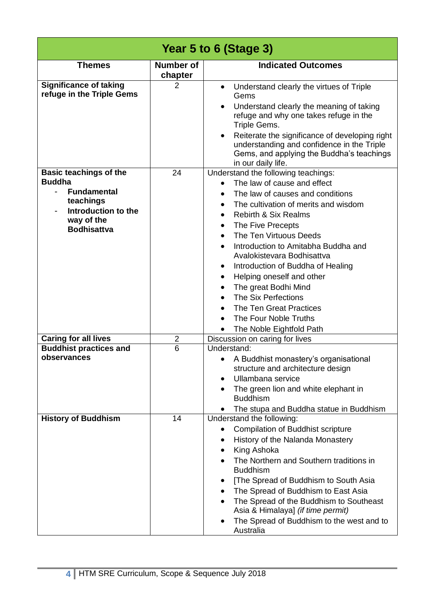| Year 5 to 6 (Stage 3)                                                                                                                        |                             |                                                                                                                                                                                                                                                                                                                                                                                                                                                                                                                                              |  |  |
|----------------------------------------------------------------------------------------------------------------------------------------------|-----------------------------|----------------------------------------------------------------------------------------------------------------------------------------------------------------------------------------------------------------------------------------------------------------------------------------------------------------------------------------------------------------------------------------------------------------------------------------------------------------------------------------------------------------------------------------------|--|--|
| <b>Themes</b>                                                                                                                                | <b>Number of</b><br>chapter | <b>Indicated Outcomes</b>                                                                                                                                                                                                                                                                                                                                                                                                                                                                                                                    |  |  |
| <b>Significance of taking</b><br>refuge in the Triple Gems                                                                                   | 2                           | Understand clearly the virtues of Triple<br>$\bullet$<br>Gems<br>Understand clearly the meaning of taking<br>refuge and why one takes refuge in the<br>Triple Gems.<br>Reiterate the significance of developing right<br>$\bullet$<br>understanding and confidence in the Triple<br>Gems, and applying the Buddha's teachings<br>in our daily life.                                                                                                                                                                                          |  |  |
| <b>Basic teachings of the</b><br><b>Buddha</b><br><b>Fundamental</b><br>teachings<br>Introduction to the<br>way of the<br><b>Bodhisattva</b> | 24                          | Understand the following teachings:<br>The law of cause and effect<br>The law of causes and conditions<br>$\bullet$<br>The cultivation of merits and wisdom<br><b>Rebirth &amp; Six Realms</b><br>The Five Precepts<br>The Ten Virtuous Deeds<br>Introduction to Amitabha Buddha and<br>Avalokistevara Bodhisattva<br>Introduction of Buddha of Healing<br>٠<br>Helping oneself and other<br>$\bullet$<br>The great Bodhi Mind<br>The Six Perfections<br><b>The Ten Great Practices</b><br>The Four Noble Truths<br>The Noble Eightfold Path |  |  |
| <b>Caring for all lives</b>                                                                                                                  | $\overline{2}$              | Discussion on caring for lives                                                                                                                                                                                                                                                                                                                                                                                                                                                                                                               |  |  |
| <b>Buddhist practices and</b><br>observances                                                                                                 | 6                           | Understand:<br>A Buddhist monastery's organisational<br>structure and architecture design<br>Ullambana service<br>The green lion and white elephant in<br><b>Buddhism</b><br>The stupa and Buddha statue in Buddhism                                                                                                                                                                                                                                                                                                                         |  |  |
| <b>History of Buddhism</b>                                                                                                                   | 14                          | Understand the following:<br><b>Compilation of Buddhist scripture</b><br>$\bullet$<br>History of the Nalanda Monastery<br>King Ashoka<br>The Northern and Southern traditions in<br><b>Buddhism</b><br>[The Spread of Buddhism to South Asia<br>٠<br>The Spread of Buddhism to East Asia<br>$\bullet$<br>The Spread of the Buddhism to Southeast<br>Asia & Himalaya] (if time permit)<br>The Spread of Buddhism to the west and to<br>Australia                                                                                              |  |  |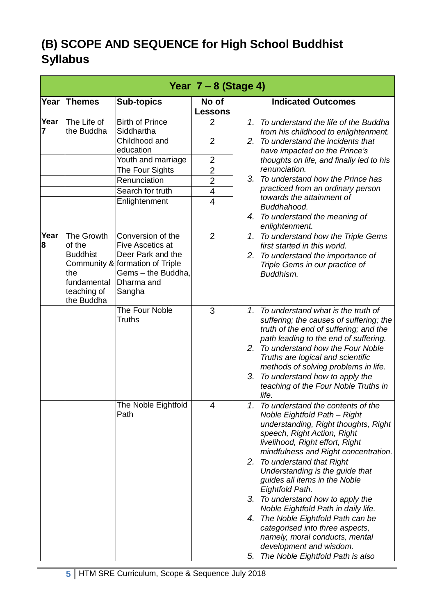#### **(B) SCOPE AND SEQUENCE for High School Buddhist Syllabus**

|           |                                                                                            |                                                                                                                                                                                       | Year $7 - 8$ (Stage 4)                                                                           |          |                                                                                                                                                                                                                                                                                                                                                                                                                                                                                                                                                                                                 |
|-----------|--------------------------------------------------------------------------------------------|---------------------------------------------------------------------------------------------------------------------------------------------------------------------------------------|--------------------------------------------------------------------------------------------------|----------|-------------------------------------------------------------------------------------------------------------------------------------------------------------------------------------------------------------------------------------------------------------------------------------------------------------------------------------------------------------------------------------------------------------------------------------------------------------------------------------------------------------------------------------------------------------------------------------------------|
|           | Year Themes                                                                                | <b>Sub-topics</b>                                                                                                                                                                     | No of<br><b>Lessons</b>                                                                          |          | <b>Indicated Outcomes</b>                                                                                                                                                                                                                                                                                                                                                                                                                                                                                                                                                                       |
| Year      | The Life of<br>the Buddha                                                                  | <b>Birth of Prince</b><br>Siddhartha<br>Childhood and<br>education<br>Youth and marriage<br>The Four Sights<br>Renunciation<br>Search for truth<br>Enlightenment                      | $\overline{2}$<br>$\overline{2}$<br>$\overline{2}$<br>$\overline{2}$<br>$\overline{2}$<br>4<br>4 | 1.<br>3. | To understand the life of the Buddha<br>from his childhood to enlightenment.<br>2. To understand the incidents that<br>have impacted on the Prince's<br>thoughts on life, and finally led to his<br>renunciation.<br>To understand how the Prince has<br>practiced from an ordinary person<br>towards the attainment of<br>Buddhahood.<br>4. To understand the meaning of<br>enlightenment.                                                                                                                                                                                                     |
| Year<br>8 | The Growth<br>of the<br><b>Buddhist</b><br>the<br>fundamental<br>teaching of<br>the Buddha | Conversion of the<br><b>Five Ascetics at</b><br>Deer Park and the<br>Community & formation of Triple<br>Gems - the Buddha,<br>Dharma and<br>Sangha<br>The Four Noble<br><b>Truths</b> | $\overline{2}$<br>3                                                                              | 1.<br>1. | To understand how the Triple Gems<br>first started in this world.<br>2. To understand the importance of<br>Triple Gems in our practice of<br>Buddhism.<br>To understand what is the truth of<br>suffering; the causes of suffering; the                                                                                                                                                                                                                                                                                                                                                         |
|           |                                                                                            |                                                                                                                                                                                       |                                                                                                  | 3.       | truth of the end of suffering; and the<br>path leading to the end of suffering.<br>2. To understand how the Four Noble<br>Truths are logical and scientific<br>methods of solving problems in life.<br>To understand how to apply the<br>teaching of the Four Noble Truths in<br>life.                                                                                                                                                                                                                                                                                                          |
|           |                                                                                            | The Noble Eightfold<br>Path                                                                                                                                                           | 4                                                                                                | 1.<br>5. | To understand the contents of the<br>Noble Eightfold Path - Right<br>understanding, Right thoughts, Right<br>speech, Right Action, Right<br>livelihood, Right effort, Right<br>mindfulness and Right concentration.<br>2. To understand that Right<br>Understanding is the guide that<br>guides all items in the Noble<br>Eightfold Path.<br>3. To understand how to apply the<br>Noble Eightfold Path in daily life.<br>4. The Noble Eightfold Path can be<br>categorised into three aspects,<br>namely, moral conducts, mental<br>development and wisdom.<br>The Noble Eightfold Path is also |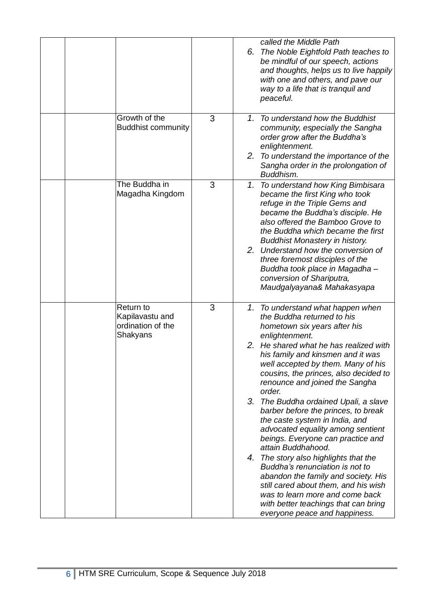|  |                                                               |   | 6. | called the Middle Path<br>The Noble Eightfold Path teaches to<br>be mindful of our speech, actions<br>and thoughts, helps us to live happily<br>with one and others, and pave our<br>way to a life that is tranquil and<br>peaceful.                                                                                                                                                                                                                                                                                                                                                                                                                                                                                                                                                                                 |
|--|---------------------------------------------------------------|---|----|----------------------------------------------------------------------------------------------------------------------------------------------------------------------------------------------------------------------------------------------------------------------------------------------------------------------------------------------------------------------------------------------------------------------------------------------------------------------------------------------------------------------------------------------------------------------------------------------------------------------------------------------------------------------------------------------------------------------------------------------------------------------------------------------------------------------|
|  | Growth of the<br><b>Buddhist community</b>                    | 3 |    | 1. To understand how the Buddhist<br>community, especially the Sangha<br>order grow after the Buddha's<br>enlightenment.<br>2. To understand the importance of the<br>Sangha order in the prolongation of<br>Buddhism.                                                                                                                                                                                                                                                                                                                                                                                                                                                                                                                                                                                               |
|  | The Buddha in<br>Magadha Kingdom                              | 3 |    | 1. To understand how King Bimbisara<br>became the first King who took<br>refuge in the Triple Gems and<br>became the Buddha's disciple. He<br>also offered the Bamboo Grove to<br>the Buddha which became the first<br><b>Buddhist Monastery in history.</b><br>2. Understand how the conversion of<br>three foremost disciples of the<br>Buddha took place in Magadha-<br>conversion of Shariputra,<br>Maudgalyayana& Mahakasyapa                                                                                                                                                                                                                                                                                                                                                                                   |
|  | Return to<br>Kapilavastu and<br>ordination of the<br>Shakyans | 3 |    | 1. To understand what happen when<br>the Buddha returned to his<br>hometown six years after his<br>enlightenment.<br>2. He shared what he has realized with<br>his family and kinsmen and it was<br>well accepted by them. Many of his<br>cousins, the princes, also decided to<br>renounce and joined the Sangha<br>order.<br>3. The Buddha ordained Upali, a slave<br>barber before the princes, to break<br>the caste system in India, and<br>advocated equality among sentient<br>beings. Everyone can practice and<br>attain Buddhahood.<br>4. The story also highlights that the<br>Buddha's renunciation is not to<br>abandon the family and society. His<br>still cared about them, and his wish<br>was to learn more and come back<br>with better teachings that can bring<br>everyone peace and happiness. |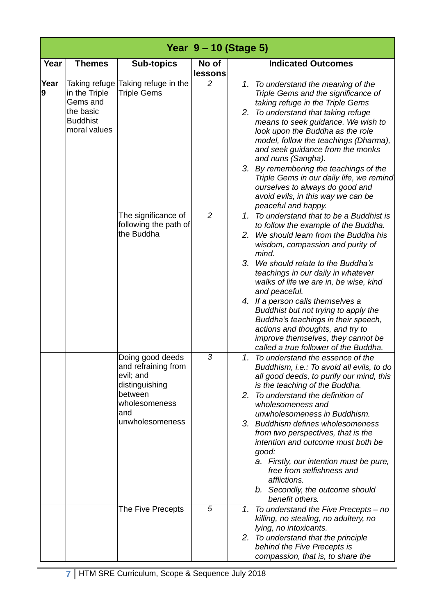|           |                                                                                            |                                                                                                                              |                  | Year 9 – 10 (Stage 5)                                                                                                                                                                                                                                                                                                                                                                                                                                                                                                                                      |
|-----------|--------------------------------------------------------------------------------------------|------------------------------------------------------------------------------------------------------------------------------|------------------|------------------------------------------------------------------------------------------------------------------------------------------------------------------------------------------------------------------------------------------------------------------------------------------------------------------------------------------------------------------------------------------------------------------------------------------------------------------------------------------------------------------------------------------------------------|
| Year      | <b>Themes</b>                                                                              | <b>Sub-topics</b>                                                                                                            | No of<br>lessons | <b>Indicated Outcomes</b>                                                                                                                                                                                                                                                                                                                                                                                                                                                                                                                                  |
| Year<br>9 | Taking refuge<br>in the Triple<br>Gems and<br>the basic<br><b>Buddhist</b><br>moral values | Taking refuge in the<br><b>Triple Gems</b>                                                                                   | $\overline{2}$   | 1. To understand the meaning of the<br>Triple Gems and the significance of<br>taking refuge in the Triple Gems<br>2. To understand that taking refuge<br>means to seek guidance. We wish to<br>look upon the Buddha as the role<br>model, follow the teachings (Dharma),<br>and seek guidance from the monks<br>and nuns (Sangha).<br>3. By remembering the teachings of the<br>Triple Gems in our daily life, we remind<br>ourselves to always do good and<br>avoid evils, in this way we can be<br>peaceful and happy.                                   |
|           |                                                                                            | The significance of<br>following the path of<br>the Buddha                                                                   | $\overline{2}$   | 1. To understand that to be a Buddhist is<br>to follow the example of the Buddha.<br>We should learn from the Buddha his<br>2.<br>wisdom, compassion and purity of<br>mind.<br>3. We should relate to the Buddha's<br>teachings in our daily in whatever<br>walks of life we are in, be wise, kind<br>and peaceful.<br>4. If a person calls themselves a<br>Buddhist but not trying to apply the<br>Buddha's teachings in their speech,<br>actions and thoughts, and try to<br>improve themselves, they cannot be<br>called a true follower of the Buddha. |
|           |                                                                                            | Doing good deeds<br>and refraining from<br>evil; and<br>distinguishing<br>between<br>wholesomeness<br>and<br>unwholesomeness | 3                | 1. To understand the essence of the<br>Buddhism, i.e.: To avoid all evils, to do<br>all good deeds, to purify our mind, this<br>is the teaching of the Buddha.<br>2. To understand the definition of<br>wholesomeness and<br>unwholesomeness in Buddhism.<br>3. Buddhism defines wholesomeness<br>from two perspectives, that is the<br>intention and outcome must both be<br>good:<br>a. Firstly, our intention must be pure,<br>free from selfishness and<br>afflictions.<br>b. Secondly, the outcome should<br>benefit others.                          |
|           |                                                                                            | The Five Precepts                                                                                                            | 5                | 1. To understand the Five Precepts – no<br>killing, no stealing, no adultery, no<br>lying, no intoxicants.<br>2. To understand that the principle<br>behind the Five Precepts is<br>compassion, that is, to share the                                                                                                                                                                                                                                                                                                                                      |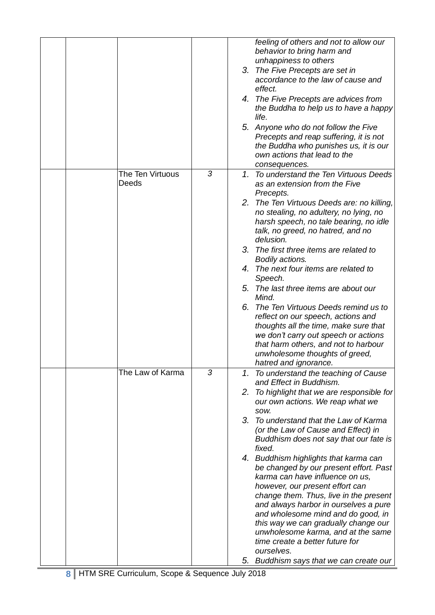|                           |   | feeling of others and not to allow our<br>behavior to bring harm and<br>unhappiness to others<br>3. The Five Precepts are set in<br>accordance to the law of cause and<br>effect.<br>4. The Five Precepts are advices from<br>the Buddha to help us to have a happy<br>life.<br>5. Anyone who do not follow the Five<br>Precepts and reap suffering, it is not<br>the Buddha who punishes us, it is our<br>own actions that lead to the<br>consequences.                                                                                                                                                                                                                                                                                                      |
|---------------------------|---|---------------------------------------------------------------------------------------------------------------------------------------------------------------------------------------------------------------------------------------------------------------------------------------------------------------------------------------------------------------------------------------------------------------------------------------------------------------------------------------------------------------------------------------------------------------------------------------------------------------------------------------------------------------------------------------------------------------------------------------------------------------|
| The Ten Virtuous<br>Deeds | 3 | 1. To understand the Ten Virtuous Deeds<br>as an extension from the Five<br>Precepts.<br>2. The Ten Virtuous Deeds are: no killing,<br>no stealing, no adultery, no lying, no<br>harsh speech, no tale bearing, no idle<br>talk, no greed, no hatred, and no<br>delusion.<br>3. The first three items are related to<br>Bodily actions.<br>4. The next four items are related to<br>Speech.<br>5. The last three items are about our<br>Mind.<br>6. The Ten Virtuous Deeds remind us to<br>reflect on our speech, actions and<br>thoughts all the time, make sure that<br>we don't carry out speech or actions<br>that harm others, and not to harbour<br>unwholesome thoughts of greed,<br>hatred and ignorance.                                             |
| The Law of Karma          | 3 | 1. To understand the teaching of Cause<br>and Effect in Buddhism.<br>2. To highlight that we are responsible for<br>our own actions. We reap what we<br>SOW.<br>3. To understand that the Law of Karma<br>(or the Law of Cause and Effect) in<br>Buddhism does not say that our fate is<br>fixed.<br>4. Buddhism highlights that karma can<br>be changed by our present effort. Past<br>karma can have influence on us,<br>however, our present effort can<br>change them. Thus, live in the present<br>and always harbor in ourselves a pure<br>and wholesome mind and do good, in<br>this way we can gradually change our<br>unwholesome karma, and at the same<br>time create a better future for<br>ourselves.<br>5. Buddhism says that we can create our |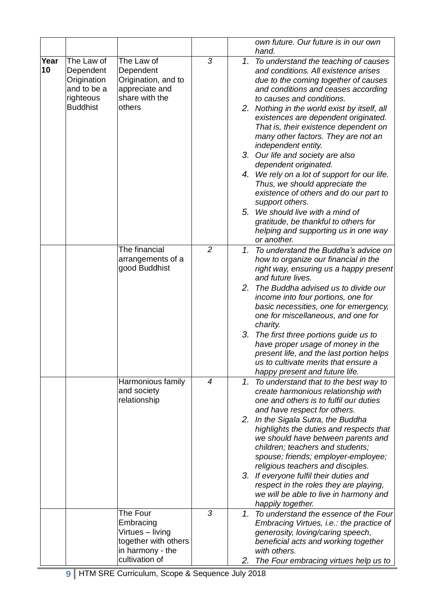|            |                                                                                       |                                                                                              |                | own future. Our future is in our own<br>hand.                                                                                                                                                                                                                                                                                                                                                                                                                                                                                                                                                                                                 |
|------------|---------------------------------------------------------------------------------------|----------------------------------------------------------------------------------------------|----------------|-----------------------------------------------------------------------------------------------------------------------------------------------------------------------------------------------------------------------------------------------------------------------------------------------------------------------------------------------------------------------------------------------------------------------------------------------------------------------------------------------------------------------------------------------------------------------------------------------------------------------------------------------|
| Year<br>10 | The Law of<br>Dependent<br>Origination<br>and to be a<br>righteous<br><b>Buddhist</b> | The Law of<br>Dependent<br>Origination, and to<br>appreciate and<br>share with the<br>others | 3              | 1.<br>To understand the teaching of causes<br>and conditions. All existence arises<br>due to the coming together of causes<br>and conditions and ceases according<br>to causes and conditions.<br>2. Nothing in the world exist by itself, all<br>existences are dependent originated.<br>That is, their existence dependent on<br>many other factors. They are not an<br>independent entity.<br>3. Our life and society are also<br>dependent originated.<br>4. We rely on a lot of support for our life.<br>Thus, we should appreciate the<br>existence of others and do our part to<br>support others.<br>5. We should live with a mind of |
|            |                                                                                       |                                                                                              |                | gratitude, be thankful to others for<br>helping and supporting us in one way<br>or another.                                                                                                                                                                                                                                                                                                                                                                                                                                                                                                                                                   |
|            |                                                                                       | The financial<br>arrangements of a<br>good Buddhist                                          | $\overline{2}$ | To understand the Buddha's advice on<br>1.<br>how to organize our financial in the<br>right way, ensuring us a happy present<br>and future lives.<br>2.<br>The Buddha advised us to divide our<br>income into four portions, one for<br>basic necessities, one for emergency,<br>one for miscellaneous, and one for<br>charity.                                                                                                                                                                                                                                                                                                               |
|            |                                                                                       |                                                                                              |                | 3. The first three portions guide us to<br>have proper usage of money in the<br>present life, and the last portion helps<br>us to cultivate merits that ensure a<br>happy present and future life.                                                                                                                                                                                                                                                                                                                                                                                                                                            |
|            |                                                                                       | Harmonious family<br>and society<br>relationship                                             | $\overline{4}$ | 1. To understand that to the best way to<br>create harmonious relationship with<br>one and others is to fulfil our duties<br>and have respect for others.<br>2. In the Sigala Sutra, the Buddha<br>highlights the duties and respects that<br>we should have between parents and<br>children; teachers and students;<br>spouse; friends; employer-employee;<br>religious teachers and disciples.<br>3. If everyone fulfil their duties and<br>respect in the roles they are playing,<br>we will be able to live in harmony and                                                                                                                |
|            |                                                                                       | The Four<br>Embracing<br>Virtues - living<br>together with others<br>in harmony - the        | 3              | happily together.<br>1. To understand the essence of the Four<br>Embracing Virtues, i.e.: the practice of<br>generosity, loving/caring speech,<br>beneficial acts and working together<br>with others.                                                                                                                                                                                                                                                                                                                                                                                                                                        |
|            |                                                                                       | cultivation of                                                                               |                | The Four embracing virtues help us to<br>2.                                                                                                                                                                                                                                                                                                                                                                                                                                                                                                                                                                                                   |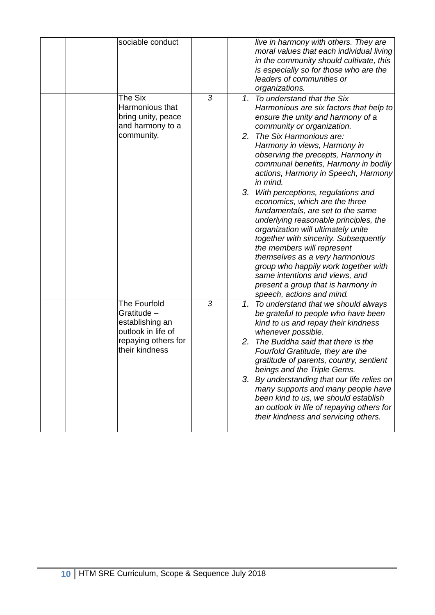|  | sociable conduct                                                                                              |   |    | live in harmony with others. They are<br>moral values that each individual living<br>in the community should cultivate, this<br>is especially so for those who are the<br>leaders of communities or<br>organizations.                                                                                                                                                                                                                                                                                                                                                                                                                                                                                                                                                                           |
|--|---------------------------------------------------------------------------------------------------------------|---|----|-------------------------------------------------------------------------------------------------------------------------------------------------------------------------------------------------------------------------------------------------------------------------------------------------------------------------------------------------------------------------------------------------------------------------------------------------------------------------------------------------------------------------------------------------------------------------------------------------------------------------------------------------------------------------------------------------------------------------------------------------------------------------------------------------|
|  | The Six<br>Harmonious that<br>bring unity, peace<br>and harmony to a<br>community.                            | 3 |    | 1. To understand that the Six<br>Harmonious are six factors that help to<br>ensure the unity and harmony of a<br>community or organization.<br>2. The Six Harmonious are:<br>Harmony in views, Harmony in<br>observing the precepts, Harmony in<br>communal benefits, Harmony in bodily<br>actions, Harmony in Speech, Harmony<br>in mind.<br>3. With perceptions, regulations and<br>economics, which are the three<br>fundamentals, are set to the same<br>underlying reasonable principles, the<br>organization will ultimately unite<br>together with sincerity. Subsequently<br>the members will represent<br>themselves as a very harmonious<br>group who happily work together with<br>same intentions and views, and<br>present a group that is harmony in<br>speech, actions and mind. |
|  | The Fourfold<br>Gratitude -<br>establishing an<br>outlook in life of<br>repaying others for<br>their kindness | 3 | 2. | 1. To understand that we should always<br>be grateful to people who have been<br>kind to us and repay their kindness<br>whenever possible.<br>The Buddha said that there is the<br>Fourfold Gratitude, they are the<br>gratitude of parents, country, sentient<br>beings and the Triple Gems.<br>3. By understanding that our life relies on<br>many supports and many people have<br>been kind to us, we should establish<br>an outlook in life of repaying others for<br>their kindness and servicing others.                                                                                                                                                                                                                                                                                 |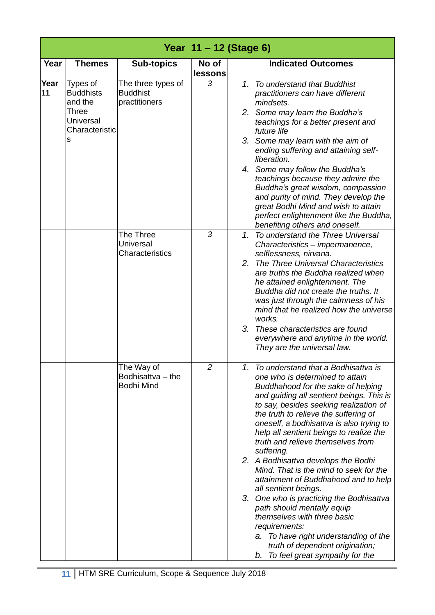|            |                                                                                                    |                                                        |                  | Year 11 – 12 (Stage 6)                                                                                                                                                                                                                                                                                                                                                                                                                                                                                                                                                                                                                                                                                                                                                                     |
|------------|----------------------------------------------------------------------------------------------------|--------------------------------------------------------|------------------|--------------------------------------------------------------------------------------------------------------------------------------------------------------------------------------------------------------------------------------------------------------------------------------------------------------------------------------------------------------------------------------------------------------------------------------------------------------------------------------------------------------------------------------------------------------------------------------------------------------------------------------------------------------------------------------------------------------------------------------------------------------------------------------------|
| Year       | <b>Themes</b>                                                                                      | <b>Sub-topics</b>                                      | No of<br>lessons | <b>Indicated Outcomes</b>                                                                                                                                                                                                                                                                                                                                                                                                                                                                                                                                                                                                                                                                                                                                                                  |
| Year<br>11 | Types of<br><b>Buddhists</b><br>and the<br><b>Three</b><br><b>Universal</b><br>Characteristic<br>s | The three types of<br><b>Buddhist</b><br>practitioners | 3                | 1. To understand that Buddhist<br>practitioners can have different<br>mindsets.<br>2. Some may learn the Buddha's<br>teachings for a better present and<br>future life<br>3. Some may learn with the aim of<br>ending suffering and attaining self-<br>liberation.<br>4. Some may follow the Buddha's<br>teachings because they admire the<br>Buddha's great wisdom, compassion<br>and purity of mind. They develop the<br>great Bodhi Mind and wish to attain<br>perfect enlightenment like the Buddha,<br>benefiting others and oneself.                                                                                                                                                                                                                                                 |
|            |                                                                                                    | The Three<br>Universal<br>Characteristics              | 3                | 1. To understand the Three Universal<br>Characteristics - impermanence,<br>selflessness, nirvana.<br>2. The Three Universal Characteristics<br>are truths the Buddha realized when<br>he attained enlightenment. The<br>Buddha did not create the truths. It<br>was just through the calmness of his<br>mind that he realized how the universe<br>works.<br>3. These characteristics are found<br>everywhere and anytime in the world.<br>They are the universal law.                                                                                                                                                                                                                                                                                                                      |
|            |                                                                                                    | The Way of<br>Bodhisattva - the<br><b>Bodhi Mind</b>   | 2                | 1.<br>To understand that a Bodhisattva is<br>one who is determined to attain<br>Buddhahood for the sake of helping<br>and guiding all sentient beings. This is<br>to say, besides seeking realization of<br>the truth to relieve the suffering of<br>oneself, a bodhisattva is also trying to<br>help all sentient beings to realize the<br>truth and relieve themselves from<br>suffering.<br>2. A Bodhisattva develops the Bodhi<br>Mind. That is the mind to seek for the<br>attainment of Buddhahood and to help<br>all sentient beings.<br>3. One who is practicing the Bodhisattva<br>path should mentally equip<br>themselves with three basic<br>requirements:<br>a. To have right understanding of the<br>truth of dependent origination;<br>To feel great sympathy for the<br>b. |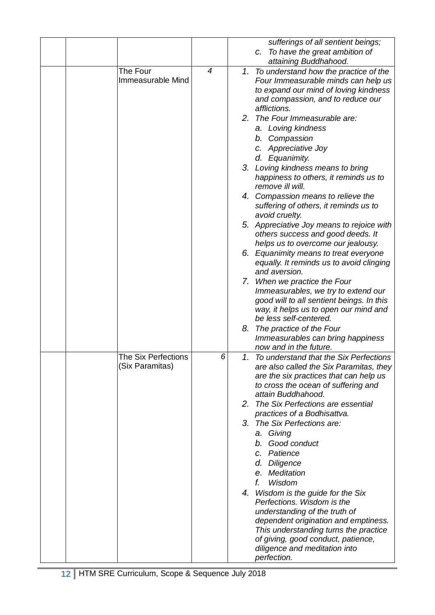|                            |   | sufferings of all sentient beings;                              |
|----------------------------|---|-----------------------------------------------------------------|
|                            |   | To have the great ambition of<br>C.                             |
|                            |   |                                                                 |
|                            |   | attaining Buddhahood.                                           |
| The Four                   | 4 | 1. To understand how the practice of the                        |
| <b>Immeasurable Mind</b>   |   | Four Immeasurable minds can help us                             |
|                            |   | to expand our mind of loving kindness                           |
|                            |   | and compassion, and to reduce our                               |
|                            |   | afflictions.                                                    |
|                            |   | 2. The Four Immeasurable are:                                   |
|                            |   | a. Loving kindness                                              |
|                            |   | b. Compassion                                                   |
|                            |   | c. Appreciative Joy                                             |
|                            |   | d. Equanimity.                                                  |
|                            |   |                                                                 |
|                            |   | 3. Loving kindness means to bring                               |
|                            |   | happiness to others, it reminds us to                           |
|                            |   | remove ill will.                                                |
|                            |   | 4. Compassion means to relieve the                              |
|                            |   | suffering of others, it reminds us to                           |
|                            |   | avoid cruelty.                                                  |
|                            |   | 5. Appreciative Joy means to rejoice with                       |
|                            |   | others success and good deeds. It                               |
|                            |   | helps us to overcome our jealousy.                              |
|                            |   | 6. Equanimity means to treat everyone                           |
|                            |   | equally. It reminds us to avoid clinging                        |
|                            |   | and aversion.                                                   |
|                            |   | 7. When we practice the Four                                    |
|                            |   | Immeasurables, we try to extend our                             |
|                            |   |                                                                 |
|                            |   | good will to all sentient beings. In this                       |
|                            |   | way, it helps us to open our mind and<br>be less self-centered. |
|                            |   |                                                                 |
|                            |   | 8. The practice of the Four                                     |
|                            |   | Immeasurables can bring happiness                               |
|                            |   | now and in the future.                                          |
| <b>The Six Perfections</b> | 6 | 1. To understand that the Six Perfections                       |
| (Six Paramitas)            |   | are also called the Six Paramitas, they                         |
|                            |   | are the six practices that can help us                          |
|                            |   | to cross the ocean of suffering and                             |
|                            |   | attain Buddhahood.                                              |
|                            |   | 2. The Six Perfections are essential                            |
|                            |   | practices of a Bodhisattva.                                     |
|                            |   | 3. The Six Perfections are:                                     |
|                            |   | a. Giving                                                       |
|                            |   | b. Good conduct                                                 |
|                            |   | c. Patience                                                     |
|                            |   | d. Diligence                                                    |
|                            |   |                                                                 |
|                            |   | e. Meditation                                                   |
|                            |   | f.<br>Wisdom                                                    |
|                            |   | 4. Wisdom is the guide for the Six                              |
|                            |   | Perfections. Wisdom is the                                      |
|                            |   | understanding of the truth of                                   |
|                            |   | dependent origination and emptiness.                            |
|                            |   | This understanding turns the practice                           |
|                            |   | of giving, good conduct, patience,                              |
|                            |   | diligence and meditation into                                   |
|                            |   | perfection.                                                     |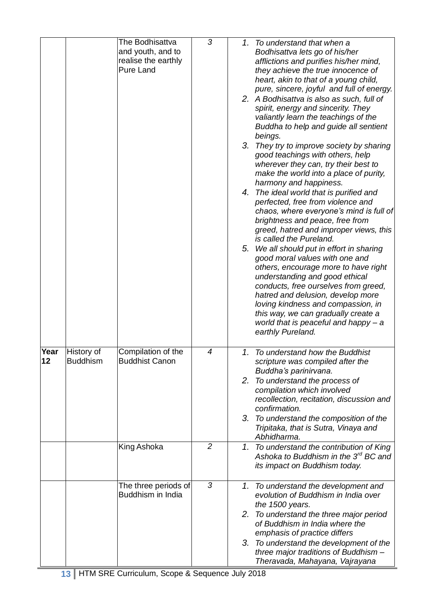|            |                               | The Bodhisattva<br>and youth, and to<br>realise the earthly<br><b>Pure Land</b> | 3              | 1. To understand that when a<br>Bodhisattva lets go of his/her<br>afflictions and purifies his/her mind,<br>they achieve the true innocence of<br>heart, akin to that of a young child,<br>pure, sincere, joyful and full of energy.<br>2. A Bodhisattva is also as such, full of<br>spirit, energy and sincerity. They<br>valiantly learn the teachings of the<br>Buddha to help and guide all sentient<br>beings.<br>3. They try to improve society by sharing<br>good teachings with others, help<br>wherever they can, try their best to<br>make the world into a place of purity,<br>harmony and happiness.<br>4. The ideal world that is purified and<br>perfected, free from violence and<br>chaos, where everyone's mind is full of<br>brightness and peace, free from<br>greed, hatred and improper views, this<br>is called the Pureland.<br>5. We all should put in effort in sharing<br>good moral values with one and<br>others, encourage more to have right<br>understanding and good ethical<br>conducts, free ourselves from greed,<br>hatred and delusion, develop more<br>loving kindness and compassion, in<br>this way, we can gradually create a<br>world that is peaceful and happy - a<br>earthly Pureland. |
|------------|-------------------------------|---------------------------------------------------------------------------------|----------------|-------------------------------------------------------------------------------------------------------------------------------------------------------------------------------------------------------------------------------------------------------------------------------------------------------------------------------------------------------------------------------------------------------------------------------------------------------------------------------------------------------------------------------------------------------------------------------------------------------------------------------------------------------------------------------------------------------------------------------------------------------------------------------------------------------------------------------------------------------------------------------------------------------------------------------------------------------------------------------------------------------------------------------------------------------------------------------------------------------------------------------------------------------------------------------------------------------------------------------------|
| Year<br>12 | History of<br><b>Buddhism</b> | Compilation of the<br><b>Buddhist Canon</b>                                     | 4              | 1. To understand how the Buddhist<br>scripture was compiled after the<br>Buddha's parinirvana.<br>2. To understand the process of<br>compilation which involved<br>recollection, recitation, discussion and<br>confirmation.<br>3. To understand the composition of the<br>Tripitaka, that is Sutra, Vinaya and<br>Abhidharma.                                                                                                                                                                                                                                                                                                                                                                                                                                                                                                                                                                                                                                                                                                                                                                                                                                                                                                      |
|            |                               | King Ashoka                                                                     | $\overline{2}$ | 1. To understand the contribution of King<br>Ashoka to Buddhism in the 3 <sup>rd</sup> BC and<br>its impact on Buddhism today.                                                                                                                                                                                                                                                                                                                                                                                                                                                                                                                                                                                                                                                                                                                                                                                                                                                                                                                                                                                                                                                                                                      |
|            |                               | The three periods of<br>Buddhism in India                                       | 3              | 1. To understand the development and<br>evolution of Buddhism in India over<br>the 1500 years.<br>2. To understand the three major period<br>of Buddhism in India where the<br>emphasis of practice differs<br>3. To understand the development of the<br>three major traditions of Buddhism-<br>Theravada, Mahayana, Vajrayana                                                                                                                                                                                                                                                                                                                                                                                                                                                                                                                                                                                                                                                                                                                                                                                                                                                                                                     |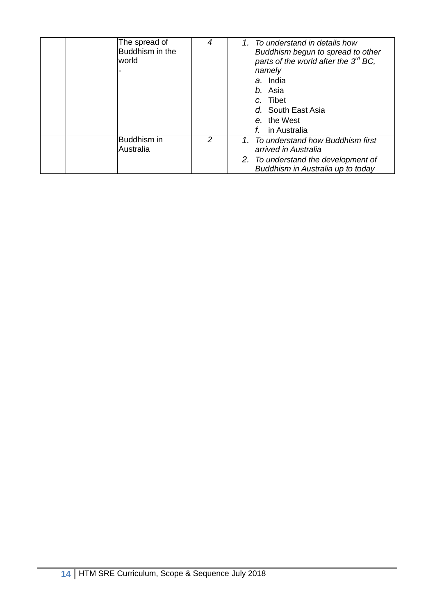| The spread of<br>Buddhism in the<br>world | 4             | 1. To understand in details how<br>Buddhism begun to spread to other<br>parts of the world after the $3^{rd}$ BC,<br>namely<br>a. India<br>b. Asia<br>c. Tibet<br>d. South East Asia<br>e. the West<br>in Australia |
|-------------------------------------------|---------------|---------------------------------------------------------------------------------------------------------------------------------------------------------------------------------------------------------------------|
| Buddhism in<br>Australia                  | $\mathcal{P}$ | 1. To understand how Buddhism first<br>arrived in Australia<br>2. To understand the development of<br>Buddhism in Australia up to today                                                                             |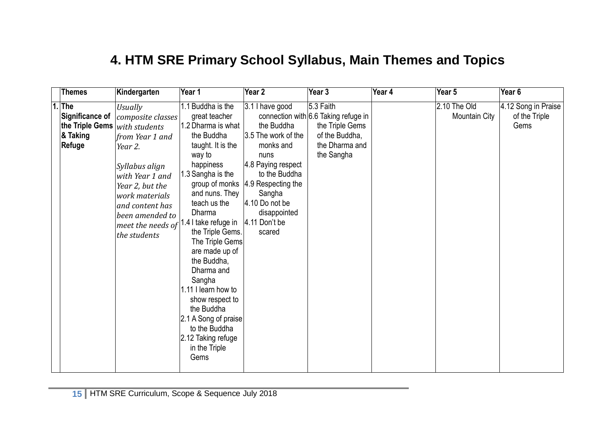#### **4. HTM SRE Primary School Syllabus, Main Themes and Topics**

|    | <b>Themes</b>                                                                 | Kindergarten                                                                                                                                                                                                                            | Year 1                                                                                                                                                                                                                                                                                                                                                                                                                                                     | Year 2                                                                                                                                                                                                                        | Year 3                                                                                                                 | Year 4 | Year 5                        | Year $6$                                     |
|----|-------------------------------------------------------------------------------|-----------------------------------------------------------------------------------------------------------------------------------------------------------------------------------------------------------------------------------------|------------------------------------------------------------------------------------------------------------------------------------------------------------------------------------------------------------------------------------------------------------------------------------------------------------------------------------------------------------------------------------------------------------------------------------------------------------|-------------------------------------------------------------------------------------------------------------------------------------------------------------------------------------------------------------------------------|------------------------------------------------------------------------------------------------------------------------|--------|-------------------------------|----------------------------------------------|
| 1. | <b>The</b><br>Significance of<br>the Triple Gems<br>& Taking<br><b>Refuge</b> | <b>Usually</b><br>composite classes<br>with students<br>from Year 1 and<br>Year 2.<br>Syllabus align<br>with Year 1 and<br>Year 2, but the<br>work materials<br>and content has<br>been amended to<br>meet the needs of<br>the students | 1.1 Buddha is the<br>great teacher<br>1.2 Dharma is what<br>the Buddha<br>taught. It is the<br>way to<br>happiness<br>1.3 Sangha is the<br>and nuns. They<br>teach us the<br>Dharma<br>1.4 I take refuge in<br>the Triple Gems.<br>The Triple Gems<br>are made up of<br>the Buddha,<br>Dharma and<br>Sangha<br>.11 I learn how to<br>show respect to<br>the Buddha<br>2.1 A Song of praise<br>to the Buddha<br>2.12 Taking refuge<br>in the Triple<br>Gems | 3.1 I have good<br>the Buddha<br>3.5 The work of the<br>monks and<br>nuns<br>4.8 Paying respect<br>to the Buddha<br>group of monks  4.9 Respecting the<br>Sangha<br>4.10 Do not be<br>disappointed<br>4.11 Don't be<br>scared | 5.3 Faith<br>connection with 6.6 Taking refuge in<br>the Triple Gems<br>of the Buddha,<br>the Dharma and<br>the Sangha |        | 2.10 The Old<br>Mountain City | 4.12 Song in Praise<br>of the Triple<br>Gems |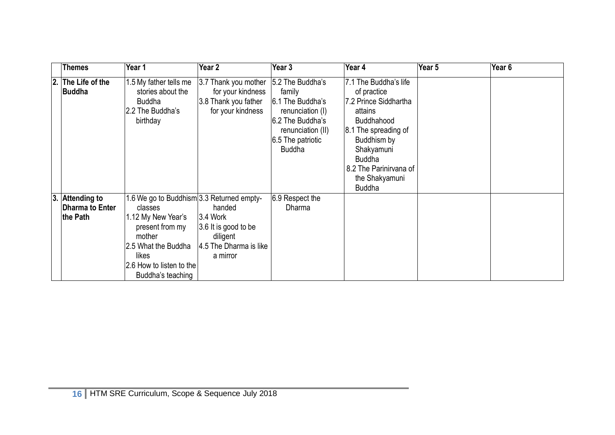|    | <b>Themes</b>                                      | Year 1                                                                                                                                                                                   | Year <sub>2</sub>                                                                                       | Year 3                                                                                                                        | Year 4                                                                                                                                                                                                                           | Year 5 | Year <sub>6</sub> |
|----|----------------------------------------------------|------------------------------------------------------------------------------------------------------------------------------------------------------------------------------------------|---------------------------------------------------------------------------------------------------------|-------------------------------------------------------------------------------------------------------------------------------|----------------------------------------------------------------------------------------------------------------------------------------------------------------------------------------------------------------------------------|--------|-------------------|
| 2. | The Life of the<br><b>Buddha</b>                   | 1.5 My father tells me<br>stories about the<br><b>Buddha</b><br>2.2 The Buddha's<br>birthday                                                                                             | 3.7 Thank you mother 5.2 The Buddha's<br>for your kindness<br>3.8 Thank you father<br>for your kindness | family<br>6.1 The Buddha's<br>renunciation (I)<br>6.2 The Buddha's<br>renunciation (II)<br>6.5 The patriotic<br><b>Buddha</b> | 7.1 The Buddha's life<br>of practice<br>7.2 Prince Siddhartha<br>attains<br><b>Buddhahood</b><br>8.1 The spreading of<br>Buddhism by<br>Shakyamuni<br><b>Buddha</b><br>8.2 The Parinirvana of<br>the Shakyamuni<br><b>Buddha</b> |        |                   |
| 3. | <b>Attending to</b><br>Dharma to Enter<br>the Path | 1.6 We go to Buddhism 3.3 Returned empty-<br>classes<br>1.12 My New Year's<br>present from my<br>mother<br>2.5 What the Buddha<br>likes<br>2.6 How to listen to the<br>Buddha's teaching | handed<br>$3.4$ Work<br>3.6 It is good to be<br>diligent<br>4.5 The Dharma is like<br>a mirror          | 6.9 Respect the<br>Dharma                                                                                                     |                                                                                                                                                                                                                                  |        |                   |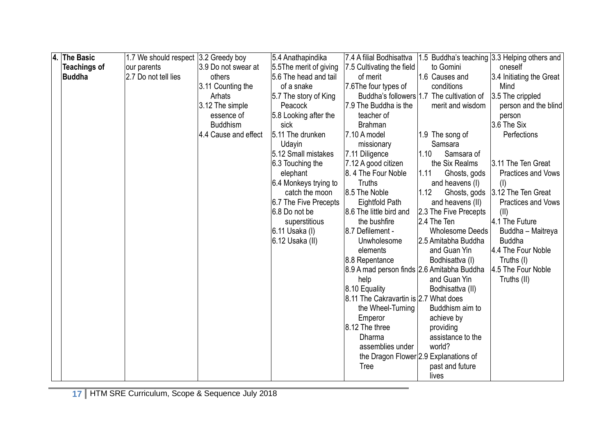| $\overline{4}$ | <b>The Basic</b>    | 1.7 We should respect [3.2 Greedy boy |                      | 5.4 Anathapindika      | 7.4 A filial Bodhisattva                   | 1.5 Buddha's teaching 3.3 Helping others and |                                 |
|----------------|---------------------|---------------------------------------|----------------------|------------------------|--------------------------------------------|----------------------------------------------|---------------------------------|
|                | <b>Teachings of</b> | our parents                           | 3.9 Do not swear at  | 5.5The merit of giving | 7.5 Cultivating the field                  | to Gomini                                    | oneself                         |
|                | Buddha              | 2.7 Do not tell lies                  | others               | 5.6 The head and tail  | of merit                                   | 1.6 Causes and                               | 3.4 Initiating the Great        |
|                |                     |                                       | 3.11 Counting the    | of a snake             | 7.6The four types of                       | conditions                                   | Mind                            |
|                |                     |                                       | Arhats               | 5.7 The story of King  |                                            | Buddha's followers 1.7 The cultivation of    | 3.5 The crippled                |
|                |                     |                                       | 3.12 The simple      | Peacock                | 7.9 The Buddha is the                      | merit and wisdom                             | person and the blind            |
|                |                     |                                       | essence of           | 5.8 Looking after the  | teacher of                                 |                                              | person                          |
|                |                     |                                       | <b>Buddhism</b>      | sick                   | <b>Brahman</b>                             |                                              | 3.6 The Six                     |
|                |                     |                                       | 4.4 Cause and effect | 5.11 The drunken       | 7.10 A model                               | 1.9 The song of                              | Perfections                     |
|                |                     |                                       |                      | Udayin                 | missionary                                 | Samsara                                      |                                 |
|                |                     |                                       |                      | 5.12 Small mistakes    | 7.11 Diligence                             | 1.10<br>Samsara of                           |                                 |
|                |                     |                                       |                      | 6.3 Touching the       | 7.12 A good citizen                        | the Six Realms                               | 3.11 The Ten Great              |
|                |                     |                                       |                      | elephant               | 8.4 The Four Noble                         | 1.11<br>Ghosts, gods                         | Practices and Vows              |
|                |                     |                                       |                      | 6.4 Monkeys trying to  | Truths                                     | and heavens (I)                              | (1)                             |
|                |                     |                                       |                      | catch the moon         | 8.5 The Noble                              | 1.12                                         | Ghosts, gods 3.12 The Ten Great |
|                |                     |                                       |                      | 6.7 The Five Precepts  | Eightfold Path                             | and heavens (II)                             | Practices and Vows              |
|                |                     |                                       |                      | 6.8 Do not be          | 8.6 The little bird and                    | 2.3 The Five Precepts                        | (11)                            |
|                |                     |                                       |                      | superstitious          | the bushfire                               | 2.4 The Ten                                  | 4.1 The Future                  |
|                |                     |                                       |                      | 6.11 Usaka (I)         | 8.7 Defilement -                           | <b>Wholesome Deeds</b>                       | Buddha - Maitreya               |
|                |                     |                                       |                      | 6.12 Usaka (II)        | Unwholesome                                | 2.5 Amitabha Buddha                          | <b>Buddha</b>                   |
|                |                     |                                       |                      |                        | elements                                   | and Guan Yin                                 | 4.4 The Four Noble              |
|                |                     |                                       |                      |                        | 8.8 Repentance                             | Bodhisattva (I)                              | Truths (I)                      |
|                |                     |                                       |                      |                        | 8.9 A mad person finds 2.6 Amitabha Buddha |                                              | 4.5 The Four Noble              |
|                |                     |                                       |                      |                        | help                                       | and Guan Yin                                 | Truths (II)                     |
|                |                     |                                       |                      |                        | 8.10 Equality                              | Bodhisattva (II)                             |                                 |
|                |                     |                                       |                      |                        | 8.11 The Cakravartin is 2.7 What does      |                                              |                                 |
|                |                     |                                       |                      |                        | the Wheel-Turning                          | Buddhism aim to                              |                                 |
|                |                     |                                       |                      |                        | Emperor                                    | achieve by                                   |                                 |
|                |                     |                                       |                      |                        | 8.12 The three                             | providing                                    |                                 |
|                |                     |                                       |                      |                        | <b>Dharma</b>                              | assistance to the                            |                                 |
|                |                     |                                       |                      |                        | assemblies under                           | world?                                       |                                 |
|                |                     |                                       |                      |                        |                                            | the Dragon Flower 2.9 Explanations of        |                                 |
|                |                     |                                       |                      |                        | <b>Tree</b>                                | past and future                              |                                 |
|                |                     |                                       |                      |                        |                                            | lives                                        |                                 |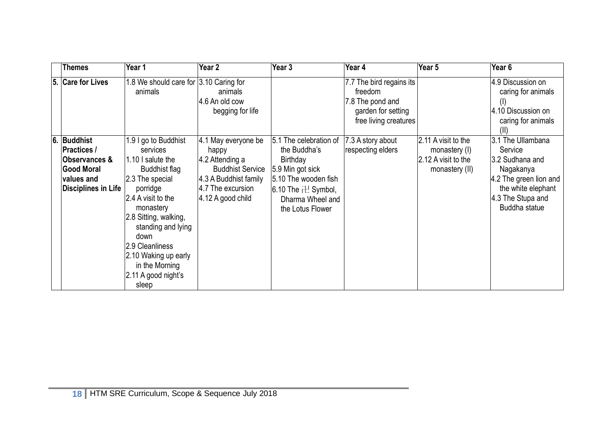| <b>Themes</b>                                                                                                           | Year 1                                                                                                                                                                                                                                                                                       | Year 2                                                                                                                                        | Year 3                                                                                                                                                             | Year 4                                                                                                 | Year 5                                                                                     | Year 6                                                                                                                                             |
|-------------------------------------------------------------------------------------------------------------------------|----------------------------------------------------------------------------------------------------------------------------------------------------------------------------------------------------------------------------------------------------------------------------------------------|-----------------------------------------------------------------------------------------------------------------------------------------------|--------------------------------------------------------------------------------------------------------------------------------------------------------------------|--------------------------------------------------------------------------------------------------------|--------------------------------------------------------------------------------------------|----------------------------------------------------------------------------------------------------------------------------------------------------|
| 5. Care for Lives                                                                                                       | 1.8 We should care for 3.10 Caring for<br>animals                                                                                                                                                                                                                                            | animals<br>4.6 An old cow<br>begging for life                                                                                                 |                                                                                                                                                                    | 7.7 The bird regains its<br>freedom<br>7.8 The pond and<br>garden for setting<br>free living creatures |                                                                                            | 4.9 Discussion on<br>caring for animals<br>4.10 Discussion on<br>caring for animals<br>(11)                                                        |
| 6. Buddhist<br><b>Practices /</b><br><b>Observances &amp;</b><br>Good Moral<br>values and<br><b>Disciplines in Life</b> | 1.9 I go to Buddhist<br>services<br>1.10 I salute the<br>Buddhist flag<br>2.3 The special<br>porridge<br>2.4 A visit to the<br>monastery<br>2.8 Sitting, walking,<br>standing and lying<br>down<br>2.9 Cleanliness<br>2.10 Waking up early<br>in the Morning<br>2.11 A good night's<br>sleep | 4.1 May everyone be<br>happy<br>4.2 Attending a<br><b>Buddhist Service</b><br>4.3 A Buddhist family<br>4.7 The excursion<br>4.12 A good child | 5.1 The celebration of<br>the Buddha's<br>Birthday<br>5.9 Min got sick<br>5.10 The wooden fish<br>$6.10$ The $\pm$ Symbol,<br>Dharma Wheel and<br>the Lotus Flower | 7.3 A story about<br>respecting elders                                                                 | $2.11$ A visit to the<br>monastery (I)<br>$ 2.12 \text{ A}$ visit to the<br>monastery (II) | 3.1 The Ullambana<br>Service<br>3.2 Sudhana and<br>Nagakanya<br>4.2 The green lion and<br>the white elephant<br>4.3 The Stupa and<br>Buddha statue |